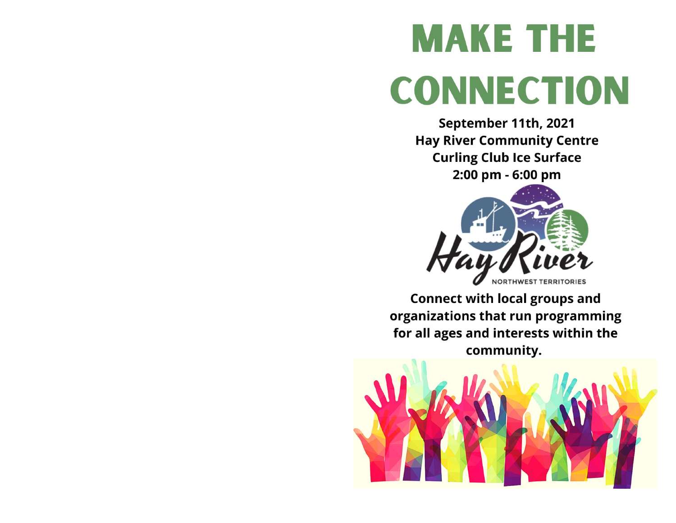# **MAKE THE CONNECTION**

September 11th, 2021 **Hay River Community Centre Curling Club Ice Surface** 2:00 pm - 6:00 pm



**Connect with local groups and** organizations that run programming for all ages and interests within the community.

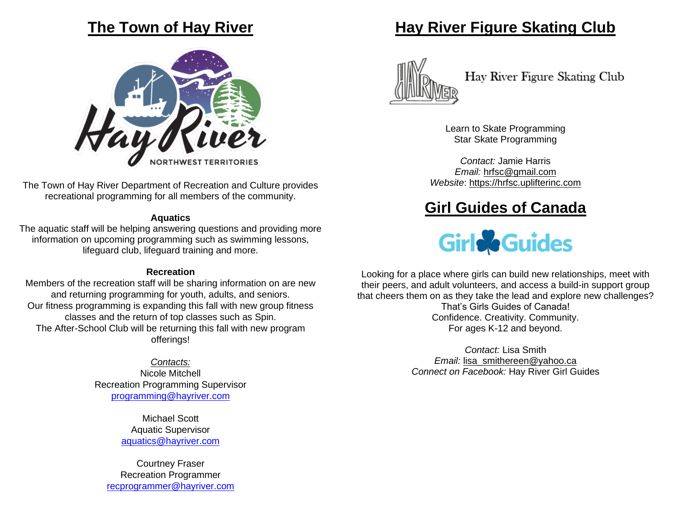#### **The Town of Hay River**



The Town of Hay River Department of Recreation and Culture provides recreational programming for all members of the community.

#### **Aquatics**

The aquatic staff will be helping answering questions and providing more information on upcoming programming such as swimming lessons, lifeguard club, lifeguard training and more.

#### **Recreation**

Members of the recreation staff will be sharing information on are new and returning programming for youth, adults, and seniors. Our fitness programming is expanding this fall with new group fitness classes and the return of top classes such as Spin. The After-School Club will be returning this fall with new program offerings!

#### *Contacts:*

Nicole Mitchell Recreation Programming Supervisor [programming@hayriver.com](mailto:programming@hayriver.com)

> Michael Scott Aquatic Supervisor [aquatics@hayriver.com](mailto:aquatics@hayriver.com)

Courtney Fraser Recreation Programmer [recprogrammer@hayriver.com](mailto:recprogrammer@hayriver.com)

#### **Hay River Figure Skating Club**



Hay River Figure Skating Club

Learn to Skate Programming Star Skate Programming

*Contact:* Jamie Harris *Email:* [hrfsc@gmail.com](mailto:hrfsc@gmail.com) *Website*: [https://hrfsc.uplifterinc.com](https://hrfsc.uplifterinc.com/)

### **Girl Guides of Canada**



Looking for a place where girls can build new relationships, meet with their peers, and adult volunteers, and access a build-in support group that cheers them on as they take the lead and explore new challenges? That's Girls Guides of Canada! Confidence. Creativity. Community. For ages K-12 and beyond.

> *Contact:* Lisa Smith *Email:* [lisa\\_smithereen@yahoo.ca](mailto:lisa_smithereen@yahoo.ca) *Connect on Facebook:* Hay River Girl Guides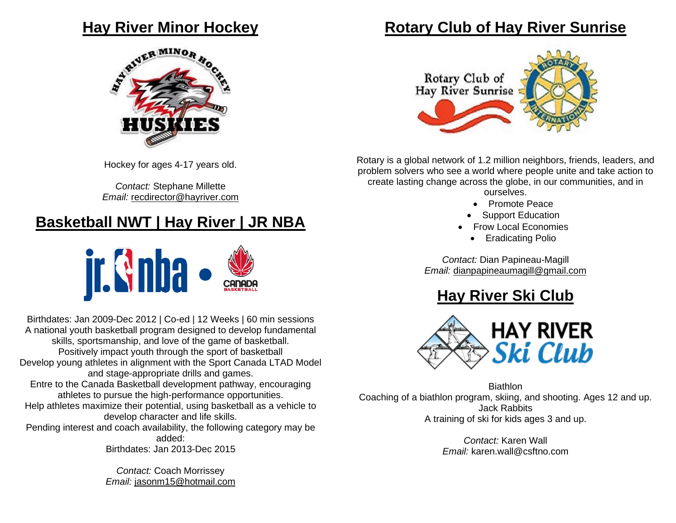

Hockey for ages 4-17 years old.

*Contact:* Stephane Millette *Email:* [recdirector@hayriver.com](mailto:recdirector@hayriver.com)

### **Basketball NWT | Hay River | JR NBA**



Birthdates: Jan 2009-Dec 2012 | Co-ed | 12 Weeks | 60 min sessions A national youth basketball program designed to develop fundamental skills, sportsmanship, and love of the game of basketball. Positively impact youth through the sport of basketball Develop young athletes in alignment with the Sport Canada LTAD Model and stage-appropriate drills and games. Entre to the Canada Basketball development pathway, encouraging athletes to pursue the high-performance opportunities. Help athletes maximize their potential, using basketball as a vehicle to develop character and life skills. Pending interest and coach availability, the following category may be added: Birthdates: Jan 2013-Dec 2015

> *Contact:* Coach Morrissey *Email:* [jasonm15@hotmail.com](mailto:jasonm15@hotmail.com)

#### **Rotary Club of Hay River Sunrise**



Rotary is a global network of 1.2 million neighbors, friends, leaders, and problem solvers who see a world where people unite and take action to create lasting change across the globe, in our communities, and in

ourselves.

- Promote Peace
- Support Education
- Frow Local Economies
	- Eradicating Polio

*Contact:* Dian Papineau-Magill *Email:* [dianpapineaumagill@gmail.com](mailto:dianpapineaumagill@gmail.com)

## **Hay River Ski Club**



Biathlon Coaching of a biathlon program, skiing, and shooting. Ages 12 and up. Jack Rabbits A training of ski for kids ages 3 and up.

> *Contact:* Karen Wall *Email:* karen.wall@csftno.com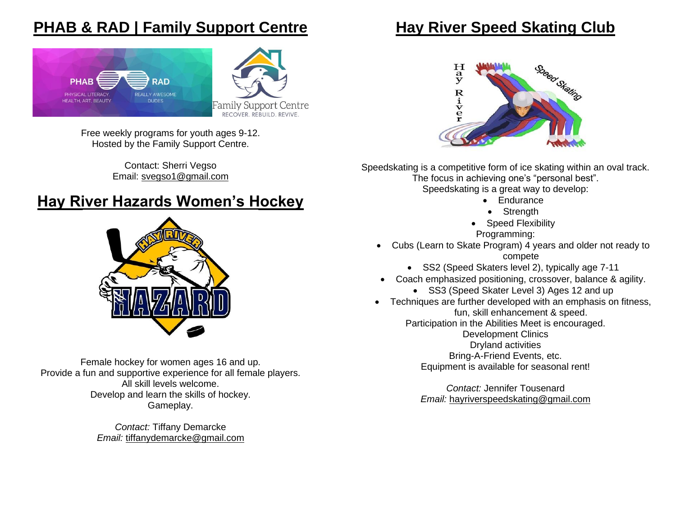#### **PHAB & RAD | Family Support Centre**



Free weekly programs for youth ages 9-12. Hosted by the Family Support Centre.

> Contact: Sherri Vegso Email: [svegso1@gmail.com](mailto:svegso1@gmail.com)

### **Hay River Hazards Women's Hockey**



Female hockey for women ages 16 and up. Provide a fun and supportive experience for all female players. All skill levels welcome. Develop and learn the skills of hockey. Gameplay.

> *Contact:* Tiffany Demarcke *Email:* [tiffanydemarcke@gmail.com](mailto:tiffanydemarcke@gmail.com)

#### **Hay River Speed Skating Club**



Speedskating is a competitive form of ice skating within an oval track. The focus in achieving one's "personal best". Speedskating is a great way to develop:

- Endurance
- Strength
- Speed Flexibility Programming:
- Cubs (Learn to Skate Program) 4 years and older not ready to compete
	- SS2 (Speed Skaters level 2), typically age 7-11
- Coach emphasized positioning, crossover, balance & agility.
	- SS3 (Speed Skater Level 3) Ages 12 and up
- Techniques are further developed with an emphasis on fitness, fun, skill enhancement & speed.

Participation in the Abilities Meet is encouraged.

Development Clinics Dryland activities Bring-A-Friend Events, etc. Equipment is available for seasonal rent!

*Contact:* Jennifer Tousenard *Email:* [hayriverspeedskating@gmail.com](mailto:hayriverspeedskating@gmail.com)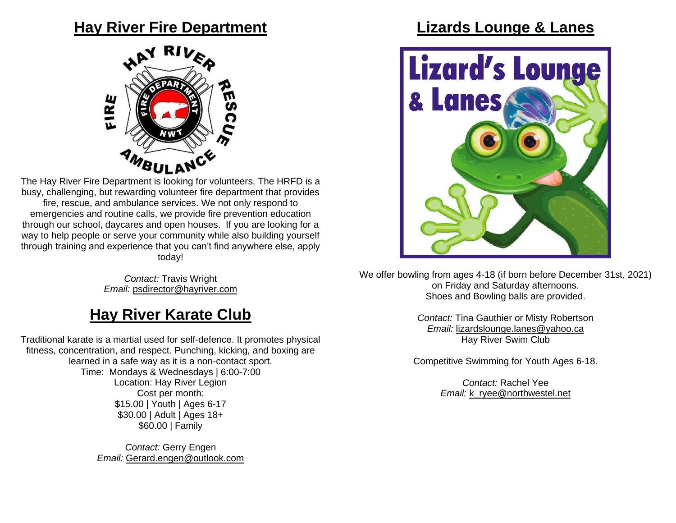#### **Hay River Fire Department**



The Hay River Fire Department is looking for volunteers. The HRFD is a busy, challenging, but rewarding volunteer fire department that provides fire, rescue, and ambulance services. We not only respond to emergencies and routine calls, we provide fire prevention education through our school, daycares and open houses. If you are looking for a way to help people or serve your community while also building yourself through training and experience that you can't find anywhere else, apply today!

> *Contact:* Travis Wright *Email:* [psdirector@hayriver.com](mailto:psdirector@hayriver.com)

#### **Hay River Karate Club**

Traditional karate is a martial used for self-defence. It promotes physical fitness, concentration, and respect. Punching, kicking, and boxing are learned in a safe way as it is a non-contact sport. Time: Mondays & Wednesdays | 6:00-7:00 Location: Hay River Legion Cost per month: \$15.00 | Youth | Ages 6-17 \$30.00 | Adult | Ages 18+ \$60.00 | Family

> *Contact:* Gerry Engen *Email:* [Gerard.engen@outlook.com](mailto:Gerard.engen@outlook.com)

#### **Lizards Lounge & Lanes**



We offer bowling from ages 4-18 (if born before December 31st, 2021) on Friday and Saturday afternoons. Shoes and Bowling balls are provided.

> *Contact:* Tina Gauthier or Misty Robertson *Email:* [lizardslounge.lanes@yahoo.ca](mailto:lizardslounge.lanes@yahoo.ca) Hay River Swim Club

Competitive Swimming for Youth Ages 6-18.

*Contact:* Rachel Yee *Email:* [k\\_ryee@northwestel.net](mailto:k_ryee@northwestel.net)